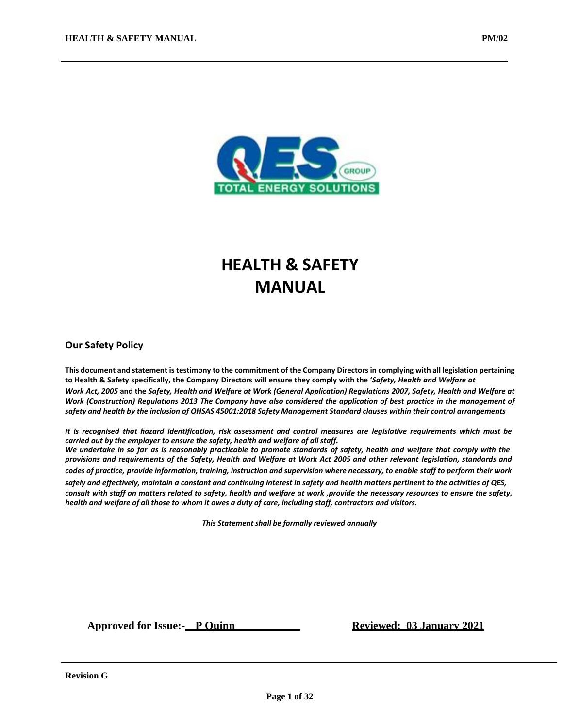

# **HEALTH & SAFETY MANUAL**

#### **Our Safety Policy**

This document and statement is testimony to the commitment of the Company Directors in complying with all legislation pertaining to Health & Safety specifically, the Company Directors will ensure they comply with the 'Safety, Health and Welfare at *Work Act, 2005* **and the** *Safety, Health and Welfare at Work (General Application) Regulations 2007, Safety, Health and Welfare at Work (Construction) Regulations 2013 The Company have also considered the application of best practice in the management of* safety and health by the inclusion of OHSAS 45001:2018 Safety Management Standard clauses within their control arrangements

It is recognised that hazard identification, risk assessment and control measures are legislative requirements which must be *carried out by the employer to ensure the safety, health and welfare of all staff.* We undertake in so far as is reasonably practicable to promote standards of safety, health and welfare that comply with the provisions and requirements of the Safety, Health and Welfare at Work Act 2005 and other relevant legislation, standards and

codes of practice, provide information, training, instruction and supervision where necessary, to enable staff to perform their work

*safely and effectively, maintain a constant and continuing interest in safety and health matters pertinent to the activities of QES,* consult with staff on matters related to safety, health and welfare at work ,provide the necessary resources to ensure the safety, *health and welfare of all those to whom it owes a duty of care, including staff, contractors and visitors.*

*This Statementshall be formally reviewed annually*

**Approved for Issue:** P Ouinn **Reviewed:** 03 January 2021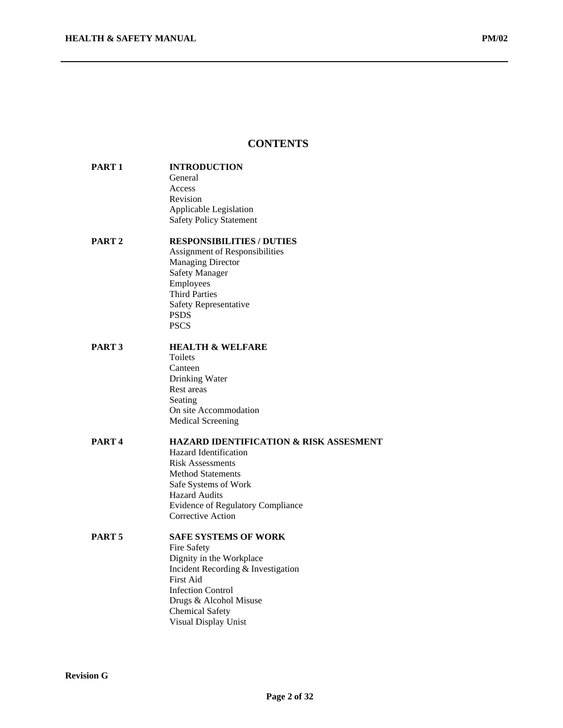#### **CONTENTS**

#### **PART 1 INTRODUCTION** General Access Revision

## **PART 2 RESPONSIBILITIES / DUTIES**

Assignment of Responsibilities Managing Director Safety Manager Employees Third Parties Safety Representative PSDS **PSCS** 

Applicable Legislation Safety Policy Statement

#### **PART 3 HEALTH & WELFARE**

Toilets Canteen Drinking Water Rest areas Seating On site Accommodation Medical Screening

#### **PART 4 HAZARD IDENTIFICATION & RISK ASSESMENT** Hazard Identification Risk Assessments

Method Statements Safe Systems of Work Hazard Audits Evidence of Regulatory Compliance Corrective Action

#### **PART 5 SAFE SYSTEMS OF WORK**

Fire Safety Dignity in the Workplace Incident Recording & Investigation First Aid Infection Control Drugs & Alcohol Misuse Chemical Safety Visual Display Unist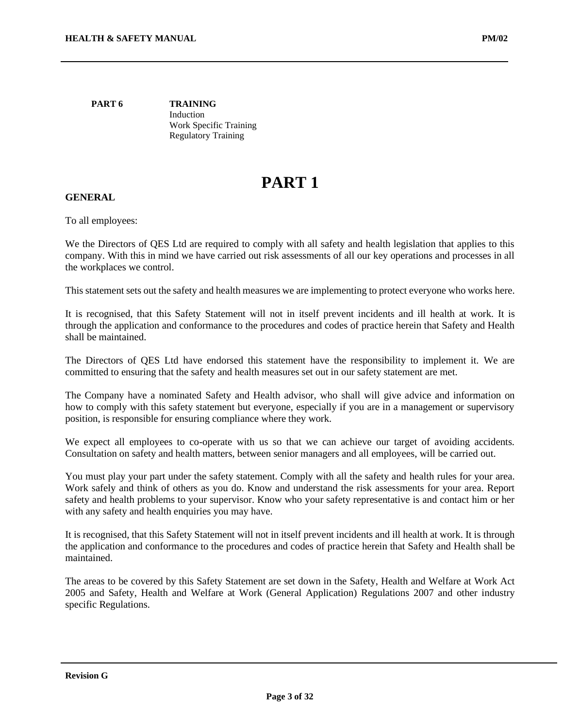**PART 6 TRAINING** Induction Work Specific Training Regulatory Training

## **PART 1**

#### **GENERAL**

To all employees:

We the Directors of QES Ltd are required to comply with all safety and health legislation that applies to this company. With this in mind we have carried out risk assessments of all our key operations and processes in all the workplaces we control.

This statement sets out the safety and health measures we are implementing to protect everyone who works here.

It is recognised, that this Safety Statement will not in itself prevent incidents and ill health at work. It is through the application and conformance to the procedures and codes of practice herein that Safety and Health shall be maintained.

The Directors of QES Ltd have endorsed this statement have the responsibility to implement it. We are committed to ensuring that the safety and health measures set out in our safety statement are met.

The Company have a nominated Safety and Health advisor, who shall will give advice and information on how to comply with this safety statement but everyone, especially if you are in a management or supervisory position, is responsible for ensuring compliance where they work.

We expect all employees to co-operate with us so that we can achieve our target of avoiding accidents. Consultation on safety and health matters, between senior managers and all employees, will be carried out.

You must play your part under the safety statement. Comply with all the safety and health rules for your area. Work safely and think of others as you do. Know and understand the risk assessments for your area. Report safety and health problems to your supervisor. Know who your safety representative is and contact him or her with any safety and health enquiries you may have.

It is recognised, that this Safety Statement will not in itself prevent incidents and ill health at work. It is through the application and conformance to the procedures and codes of practice herein that Safety and Health shall be maintained.

The areas to be covered by this Safety Statement are set down in the Safety, Health and Welfare at Work Act 2005 and Safety, Health and Welfare at Work (General Application) Regulations 2007 and other industry specific Regulations.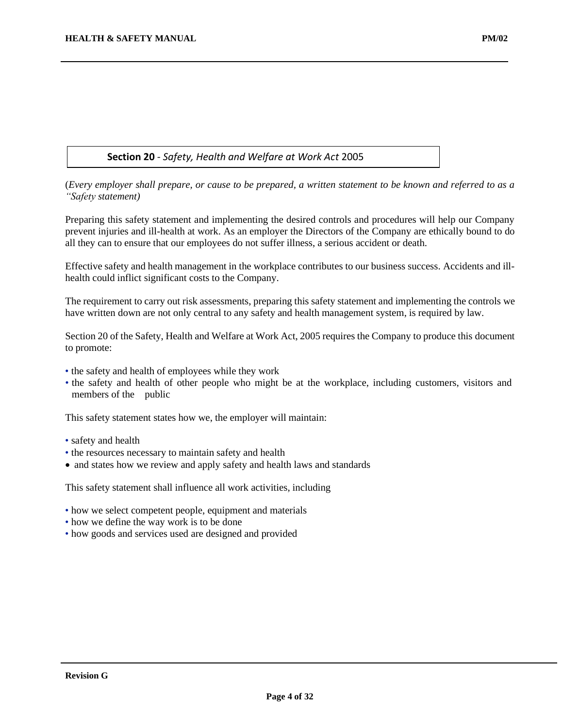## **Section 20** - *Safety, Health and Welfare at Work Act* 2005

(*Every employer shall prepare, or cause to be prepared, a written statement to be known and referred to as a "Safety statement)*

Preparing this safety statement and implementing the desired controls and procedures will help our Company prevent injuries and ill-health at work. As an employer the Directors of the Company are ethically bound to do all they can to ensure that our employees do not suffer illness, a serious accident or death.

Effective safety and health management in the workplace contributes to our business success. Accidents and illhealth could inflict significant costs to the Company.

The requirement to carry out risk assessments, preparing this safety statement and implementing the controls we have written down are not only central to any safety and health management system, is required by law.

Section 20 of the Safety, Health and Welfare at Work Act, 2005 requires the Company to produce this document to promote:

- the safety and health of employees while they work
- the safety and health of other people who might be at the workplace, including customers, visitors and members of the public

This safety statement states how we, the employer will maintain:

- safety and health
- the resources necessary to maintain safety and health
- and states how we review and apply safety and health laws and standards

This safety statement shall influence all work activities, including

- how we select competent people, equipment and materials
- how we define the way work is to be done
- how goods and services used are designed and provided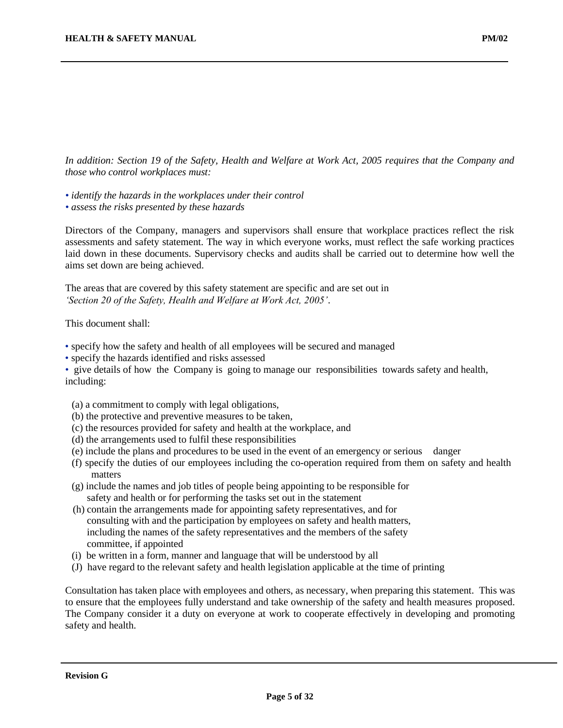*In addition: Section 19 of the Safety, Health and Welfare at Work Act, 2005 requires that the Company and those who control workplaces must:*

- *• identify the hazards in the workplaces under their control*
- *• assess the risks presented by these hazards*

Directors of the Company, managers and supervisors shall ensure that workplace practices reflect the risk assessments and safety statement. The way in which everyone works, must reflect the safe working practices laid down in these documents. Supervisory checks and audits shall be carried out to determine how well the aims set down are being achieved.

The areas that are covered by this safety statement are specific and are set out in *'Section 20 of the Safety, Health and Welfare at Work Act, 2005'*.

This document shall:

- specify how the safety and health of all employees will be secured and managed
- specify the hazards identified and risks assessed

• give details of how the Company is going to manage our responsibilities towards safety and health, including:

- (a) a commitment to comply with legal obligations,
- (b) the protective and preventive measures to be taken,
- (c) the resources provided for safety and health at the workplace, and
- (d) the arrangements used to fulfil these responsibilities
- (e) include the plans and procedures to be used in the event of an emergency or serious danger
- (f) specify the duties of our employees including the co-operation required from them on safety and health matters
- (g) include the names and job titles of people being appointing to be responsible for safety and health or for performing the tasks set out in the statement
- (h) contain the arrangements made for appointing safety representatives, and for consulting with and the participation by employees on safety and health matters, including the names of the safety representatives and the members of the safety committee, if appointed
- (i) be written in a form, manner and language that will be understood by all
- (J) have regard to the relevant safety and health legislation applicable at the time of printing

Consultation has taken place with employees and others, as necessary, when preparing this statement. This was to ensure that the employees fully understand and take ownership of the safety and health measures proposed. The Company consider it a duty on everyone at work to cooperate effectively in developing and promoting safety and health.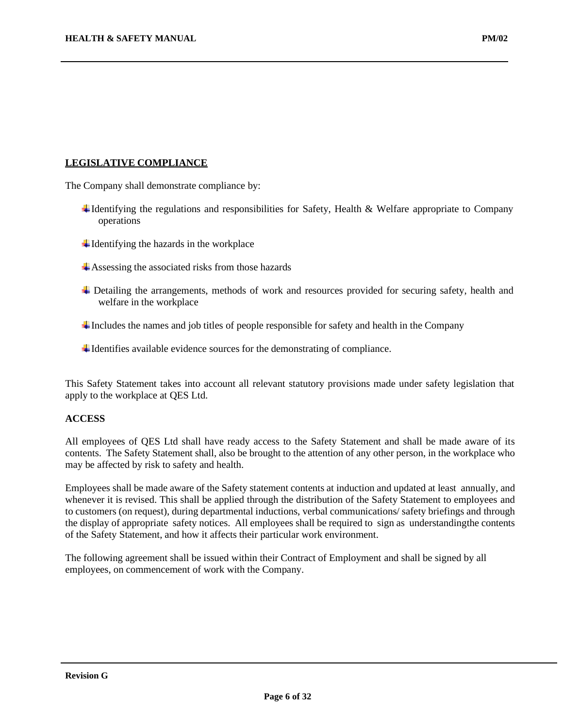#### **LEGISLATIVE COMPLIANCE**

The Company shall demonstrate compliance by:

- $\ddot{\text{I}}$  Identifying the regulations and responsibilities for Safety, Health & Welfare appropriate to Company operations
- $\ddot{\bullet}$  Identifying the hazards in the workplace
- Assessing the associated risks from those hazards
- Detailing the arrangements, methods of work and resources provided for securing safety, health and welfare in the workplace
- $\ddot{\text{I}}$  Includes the names and job titles of people responsible for safety and health in the Company
- $\ddot{\text{I}}$  Identifies available evidence sources for the demonstrating of compliance.

This Safety Statement takes into account all relevant statutory provisions made under safety legislation that apply to the workplace at QES Ltd.

#### **ACCESS**

All employees of QES Ltd shall have ready access to the Safety Statement and shall be made aware of its contents. The Safety Statement shall, also be brought to the attention of any other person, in the workplace who may be affected by risk to safety and health.

Employees shall be made aware of the Safety statement contents at induction and updated at least annually, and whenever it is revised. This shall be applied through the distribution of the Safety Statement to employees and to customers (on request), during departmental inductions, verbal communications/ safety briefings and through the display of appropriate safety notices. All employees shall be required to sign as understandingthe contents of the Safety Statement, and how it affects their particular work environment.

The following agreement shall be issued within their Contract of Employment and shall be signed by all employees, on commencement of work with the Company.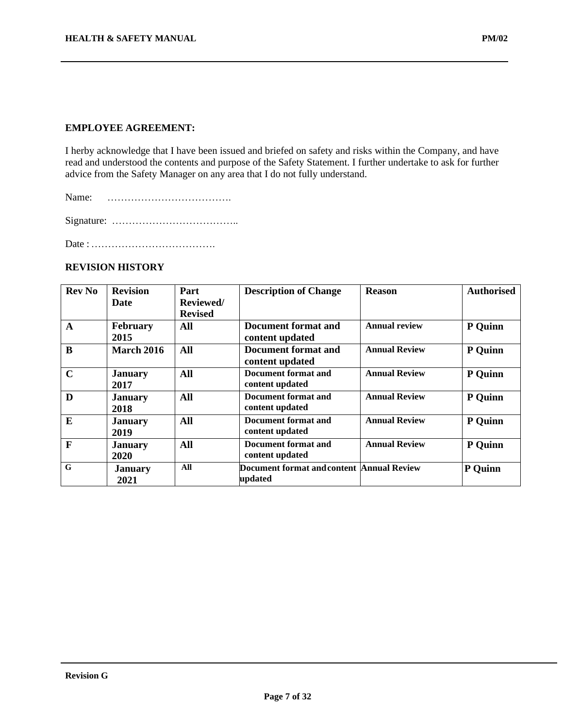#### **EMPLOYEE AGREEMENT:**

I herby acknowledge that I have been issued and briefed on safety and risks within the Company, and have read and understood the contents and purpose of the Safety Statement. I further undertake to ask for further advice from the Safety Manager on any area that I do not fully understand.

Name: ……………………………….

Signature: ………………………………..

Date :……………………………….

## **REVISION HISTORY**

| <b>Rev No</b> | <b>Revision</b>               | Part<br>Reviewed/ | <b>Description of Change</b>                         | <b>Reason</b>        | <b>Authorised</b> |
|---------------|-------------------------------|-------------------|------------------------------------------------------|----------------------|-------------------|
|               | Date                          | <b>Revised</b>    |                                                      |                      |                   |
| $\mathbf A$   | <b>February</b><br>2015       | All               | <b>Document format and</b><br>content updated        | <b>Annual review</b> | P Quinn           |
| B             | <b>March 2016</b>             | All               | <b>Document format and</b><br>content updated        | <b>Annual Review</b> | P Quinn           |
| $\mathbf C$   | <b>January</b><br>2017        | All               | Document format and<br>content updated               | <b>Annual Review</b> | P Quinn           |
| D             | <b>January</b><br>2018        | All               | Document format and<br>content updated               | <b>Annual Review</b> | P Quinn           |
| E             | <b>January</b><br>2019        | All               | Document format and<br>content updated               | <b>Annual Review</b> | P Quinn           |
| $\mathbf F$   | <b>January</b><br><b>2020</b> | All               | Document format and<br>content updated               | <b>Annual Review</b> | P Quinn           |
| G             | <b>January</b><br>2021        | All               | Document format and content Annual Review<br>updated |                      | P Quinn           |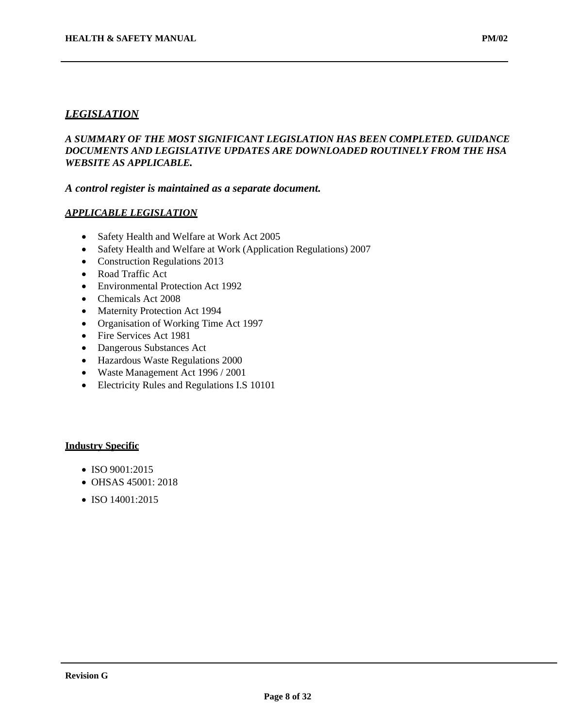## *LEGISLATION*

## *A SUMMARY OF THE MOST SIGNIFICANT LEGISLATION HAS BEEN COMPLETED. GUIDANCE DOCUMENTS AND LEGISLATIVE UPDATES ARE DOWNLOADED ROUTINELY FROM THE HSA WEBSITE AS APPLICABLE.*

#### *A control register is maintained as a separate document.*

#### *APPLICABLE LEGISLATION*

- Safety Health and Welfare at Work Act 2005
- Safety Health and Welfare at Work (Application Regulations) 2007
- Construction Regulations 2013
- Road Traffic Act
- Environmental Protection Act 1992
- Chemicals Act 2008
- Maternity Protection Act 1994
- Organisation of Working Time Act 1997
- Fire Services Act 1981
- Dangerous Substances Act
- Hazardous Waste Regulations 2000
- Waste Management Act 1996 / 2001
- Electricity Rules and Regulations I.S 10101

#### **Industry Specific**

- ISO 9001:2015
- OHSAS 45001: 2018
- ISO 14001:2015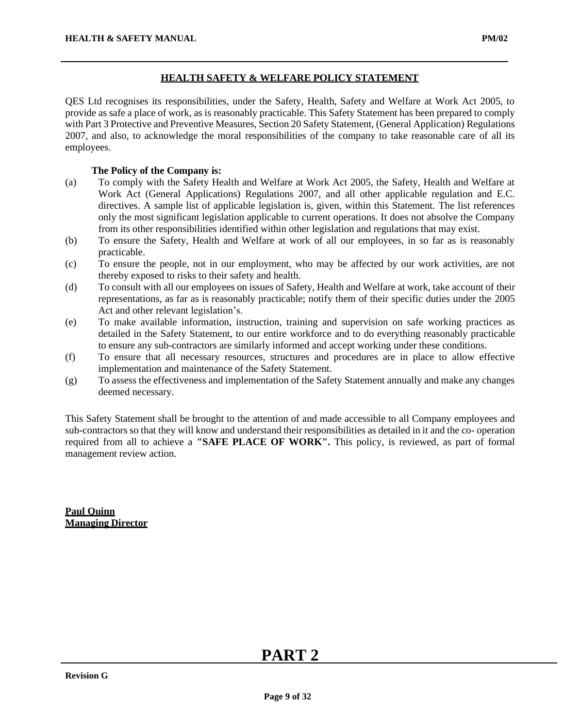### **HEALTH SAFETY & WELFARE POLICY STATEMENT**

QES Ltd recognises its responsibilities, under the Safety, Health, Safety and Welfare at Work Act 2005, to provide as safe a place of work, as is reasonably practicable. This Safety Statement has been prepared to comply with Part 3 Protective and Preventive Measures, Section 20 Safety Statement, (General Application) Regulations 2007, and also, to acknowledge the moral responsibilities of the company to take reasonable care of all its employees.

### **The Policy of the Company is:**

- (a) To comply with the Safety Health and Welfare at Work Act 2005, the Safety, Health and Welfare at Work Act (General Applications) Regulations 2007, and all other applicable regulation and E.C. directives. A sample list of applicable legislation is, given, within this Statement. The list references only the most significant legislation applicable to current operations. It does not absolve the Company from its other responsibilities identified within other legislation and regulations that may exist.
- (b) To ensure the Safety, Health and Welfare at work of all our employees, in so far as is reasonably practicable.
- (c) To ensure the people, not in our employment, who may be affected by our work activities, are not thereby exposed to risks to their safety and health.
- (d) To consult with all our employees on issues of Safety, Health and Welfare at work, take account of their representations, as far as is reasonably practicable; notify them of their specific duties under the 2005 Act and other relevant legislation's.
- (e) To make available information, instruction, training and supervision on safe working practices as detailed in the Safety Statement, to our entire workforce and to do everything reasonably practicable to ensure any sub-contractors are similarly informed and accept working under these conditions.
- (f) To ensure that all necessary resources, structures and procedures are in place to allow effective implementation and maintenance of the Safety Statement.
- (g) To assess the effectiveness and implementation of the Safety Statement annually and make any changes deemed necessary.

This Safety Statement shall be brought to the attention of and made accessible to all Company employees and sub-contractors so that they will know and understand their responsibilities as detailed in it and the co- operation required from all to achieve a **"SAFE PLACE OF WORK".** This policy, is reviewed, as part of formal management review action.

**Paul Quinn Managing Director**

## **PART 2**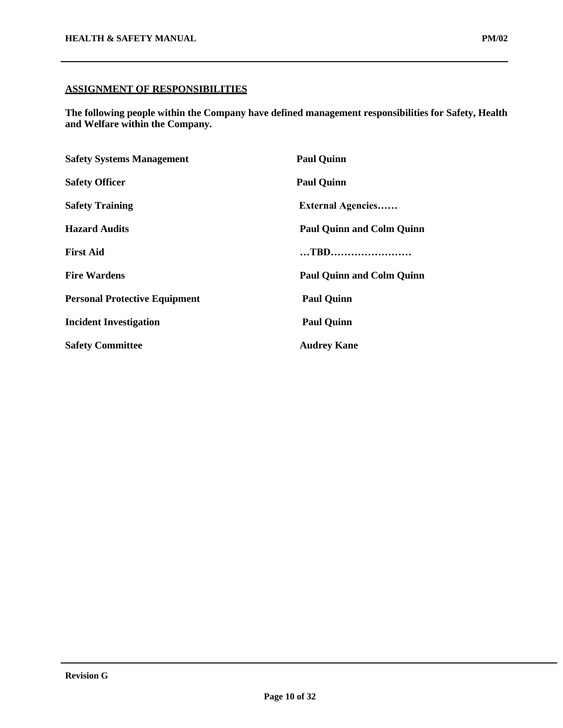**The following people within the Company have defined management responsibilities for Safety, Health and Welfare within the Company.**

| <b>Safety Systems Management</b>     | <b>Paul Quinn</b>                |  |
|--------------------------------------|----------------------------------|--|
| <b>Safety Officer</b>                | <b>Paul Quinn</b>                |  |
| <b>Safety Training</b>               | <b>External Agencies</b>         |  |
| <b>Hazard Audits</b>                 | <b>Paul Quinn and Colm Quinn</b> |  |
| <b>First Aid</b>                     | TBD                              |  |
| <b>Fire Wardens</b>                  | <b>Paul Quinn and Colm Quinn</b> |  |
| <b>Personal Protective Equipment</b> | <b>Paul Quinn</b>                |  |
| <b>Incident Investigation</b>        | <b>Paul Quinn</b>                |  |
| <b>Safety Committee</b>              | <b>Audrey Kane</b>               |  |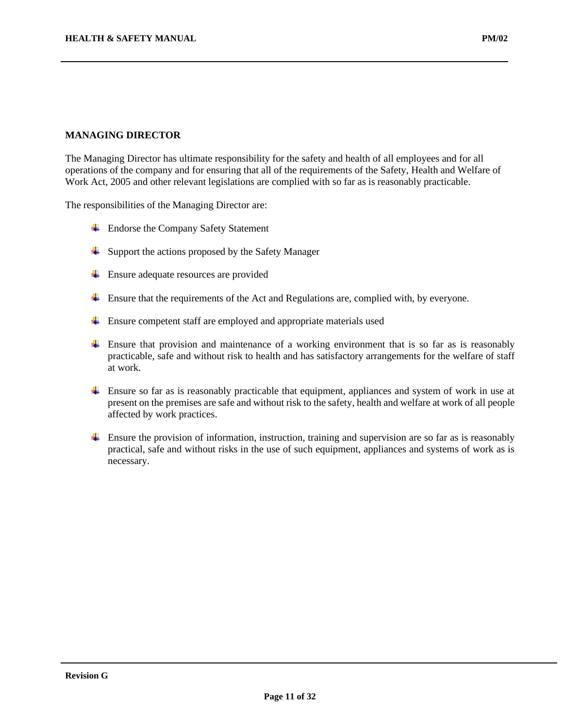#### **MANAGING DIRECTOR**

The Managing Director has ultimate responsibility for the safety and health of all employees and for all operations of the company and for ensuring that all of the requirements of the Safety, Health and Welfare of Work Act, 2005 and other relevant legislations are complied with so far as is reasonably practicable.

The responsibilities of the Managing Director are:

- **Endorse the Company Safety Statement**
- ↓ Support the actions proposed by the Safety Manager
- $\overline{\phantom{a}}$  Ensure adequate resources are provided
- Ensure that the requirements of the Act and Regulations are, complied with, by everyone.
- **Ensure competent staff are employed and appropriate materials used**
- $\overline{+}$  Ensure that provision and maintenance of a working environment that is so far as is reasonably practicable, safe and without risk to health and has satisfactory arrangements for the welfare of staff at work.
- Ensure so far as is reasonably practicable that equipment, appliances and system of work in use at present on the premises are safe and without risk to the safety, health and welfare at work of all people affected by work practices.
- $\pm$  Ensure the provision of information, instruction, training and supervision are so far as is reasonably practical, safe and without risks in the use of such equipment, appliances and systems of work as is necessary.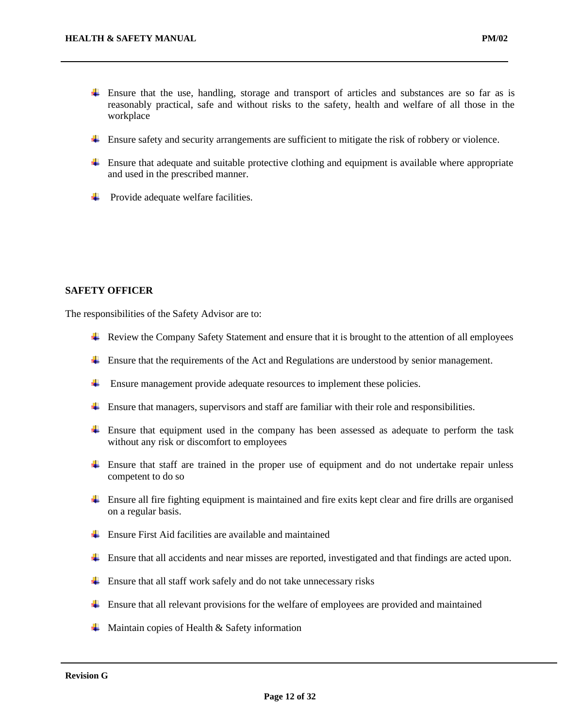- Ensure that the use, handling, storage and transport of articles and substances are so far as is reasonably practical, safe and without risks to the safety, health and welfare of all those in the workplace
- Ensure safety and security arrangements are sufficient to mitigate the risk of robbery or violence.
- $\ddot{\phantom{1}}$  Ensure that adequate and suitable protective clothing and equipment is available where appropriate and used in the prescribed manner.
- $\overline{\phantom{a}}$  Provide adequate welfare facilities.

#### **SAFETY OFFICER**

The responsibilities of the Safety Advisor are to:

- Review the Company Safety Statement and ensure that it is brought to the attention of all employees
- Ensure that the requirements of the Act and Regulations are understood by senior management.
- $\frac{4}{1}$  Ensure management provide adequate resources to implement these policies.
- $\ddot{\text{ }+}$  Ensure that managers, supervisors and staff are familiar with their role and responsibilities.
- Ensure that equipment used in the company has been assessed as adequate to perform the task without any risk or discomfort to employees
- $\overline{\phantom{a}}$  Ensure that staff are trained in the proper use of equipment and do not undertake repair unless competent to do so
- $\ddot{\phantom{a}}$  Ensure all fire fighting equipment is maintained and fire exits kept clear and fire drills are organised on a regular basis.
- $\overline{\phantom{a}}$  Ensure First Aid facilities are available and maintained
- Ensure that all accidents and near misses are reported, investigated and that findings are acted upon.
- $\overline{\phantom{a}}$  Ensure that all staff work safely and do not take unnecessary risks
- Ensure that all relevant provisions for the welfare of employees are provided and maintained
- $\overline{\phantom{a}}$  Maintain copies of Health & Safety information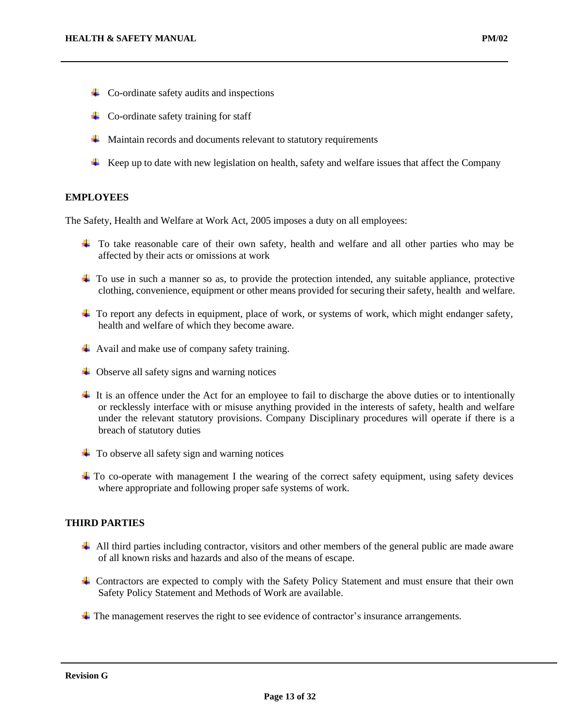- $\overline{\phantom{a}}$  Co-ordinate safety audits and inspections
- $\leftarrow$  Co-ordinate safety training for staff
- $\frac{1}{\sqrt{1}}$  Maintain records and documents relevant to statutory requirements
- $\overline{+}$  Keep up to date with new legislation on health, safety and welfare issues that affect the Company

## **EMPLOYEES**

The Safety, Health and Welfare at Work Act, 2005 imposes a duty on all employees:

- To take reasonable care of their own safety, health and welfare and all other parties who may be affected by their acts or omissions at work
- To use in such a manner so as, to provide the protection intended, any suitable appliance, protective clothing, convenience, equipment or other means provided for securing their safety, health and welfare.
- $\ddot{\text{+}}$  To report any defects in equipment, place of work, or systems of work, which might endanger safety, health and welfare of which they become aware.
- $\overline{\phantom{a}}$  Avail and make use of company safety training.
- $\downarrow$  Observe all safety signs and warning notices
- $\pm$  It is an offence under the Act for an employee to fail to discharge the above duties or to intentionally or recklessly interface with or misuse anything provided in the interests of safety, health and welfare under the relevant statutory provisions. Company Disciplinary procedures will operate if there is a breach of statutory duties
- $\ddot{\bullet}$  To observe all safety sign and warning notices
- $\pm$  To co-operate with management I the wearing of the correct safety equipment, using safety devices where appropriate and following proper safe systems of work.

#### **THIRD PARTIES**

- All third parties including contractor, visitors and other members of the general public are made aware of all known risks and hazards and also of the means of escape.
- Contractors are expected to comply with the Safety Policy Statement and must ensure that their own Safety Policy Statement and Methods of Work are available.
- The management reserves the right to see evidence of contractor's insurance arrangements.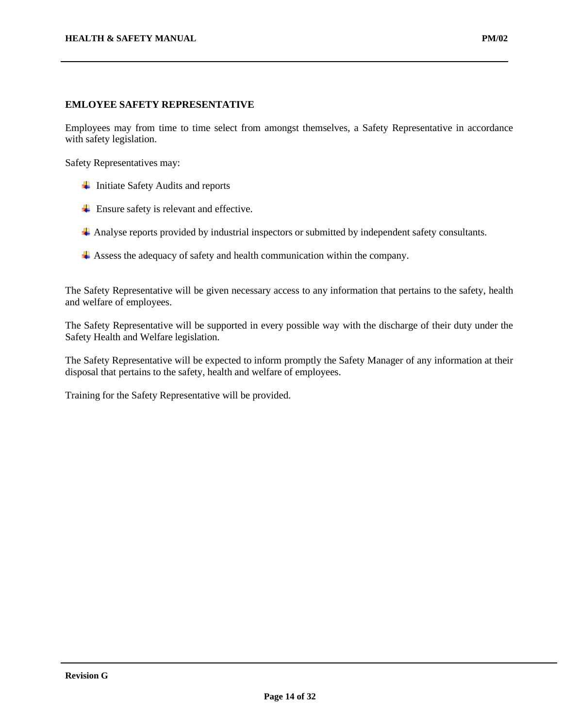Employees may from time to time select from amongst themselves, a Safety Representative in accordance with safety legislation.

Safety Representatives may:

- $\ddot{\phantom{1}}$  Initiate Safety Audits and reports
- $\overline{\phantom{a}}$  Ensure safety is relevant and effective.
- Analyse reports provided by industrial inspectors or submitted by independent safety consultants.
- Assess the adequacy of safety and health communication within the company.

The Safety Representative will be given necessary access to any information that pertains to the safety, health and welfare of employees.

The Safety Representative will be supported in every possible way with the discharge of their duty under the Safety Health and Welfare legislation.

The Safety Representative will be expected to inform promptly the Safety Manager of any information at their disposal that pertains to the safety, health and welfare of employees.

Training for the Safety Representative will be provided.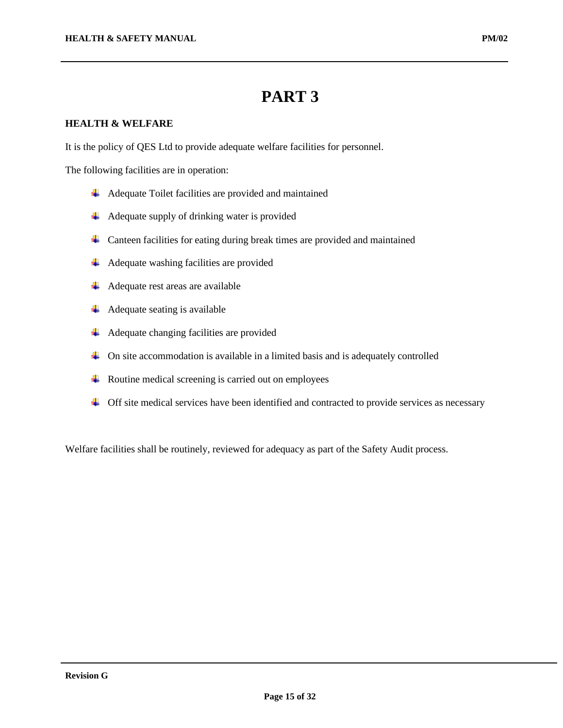## **PART 3**

## **HEALTH & WELFARE**

It is the policy of QES Ltd to provide adequate welfare facilities for personnel.

The following facilities are in operation:

- $\overline{\phantom{a}}$  Adequate Toilet facilities are provided and maintained
- $\overline{\phantom{a}}$  Adequate supply of drinking water is provided
- 4 Canteen facilities for eating during break times are provided and maintained
- $\overline{\phantom{a}}$  Adequate washing facilities are provided
- $\overline{\phantom{a}}$  Adequate rest areas are available
- $\overline{\phantom{a}}$  Adequate seating is available
- Adequate changing facilities are provided
- $\overline{\phantom{a}}$  On site accommodation is available in a limited basis and is adequately controlled
- $\overline{\phantom{a}}$  Routine medical screening is carried out on employees
- $\overline{+}$  Off site medical services have been identified and contracted to provide services as necessary

Welfare facilities shall be routinely, reviewed for adequacy as part of the Safety Audit process.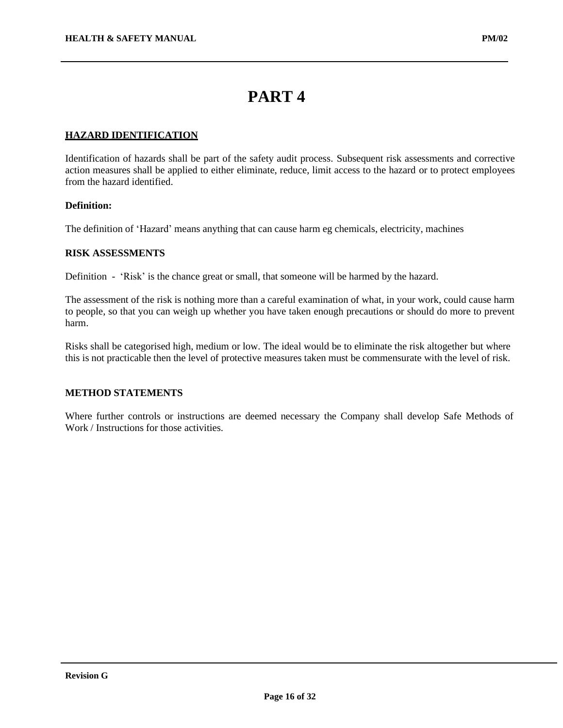## **PART 4**

### **HAZARD IDENTIFICATION**

Identification of hazards shall be part of the safety audit process. Subsequent risk assessments and corrective action measures shall be applied to either eliminate, reduce, limit access to the hazard or to protect employees from the hazard identified.

#### **Definition:**

The definition of 'Hazard' means anything that can cause harm eg chemicals, electricity, machines

#### **RISK ASSESSMENTS**

Definition - 'Risk' is the chance great or small, that someone will be harmed by the hazard.

The assessment of the risk is nothing more than a careful examination of what, in your work, could cause harm to people, so that you can weigh up whether you have taken enough precautions or should do more to prevent harm.

Risks shall be categorised high, medium or low. The ideal would be to eliminate the risk altogether but where this is not practicable then the level of protective measures taken must be commensurate with the level of risk.

#### **METHOD STATEMENTS**

Where further controls or instructions are deemed necessary the Company shall develop Safe Methods of Work / Instructions for those activities.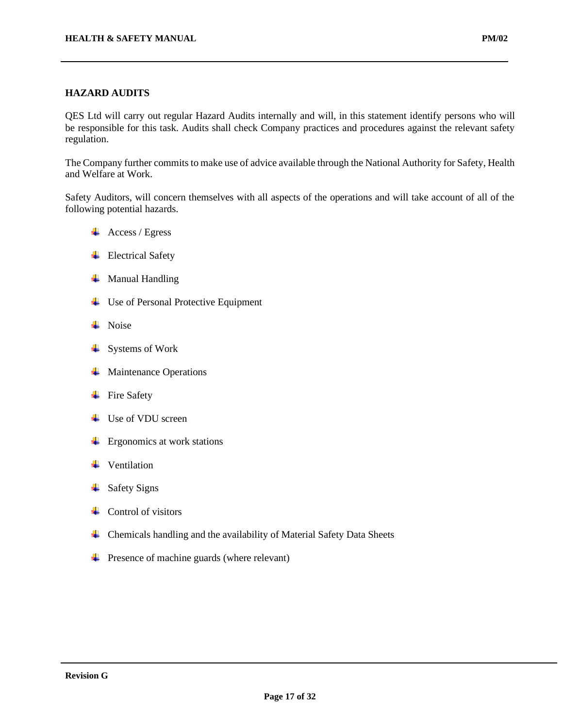#### **HAZARD AUDITS**

QES Ltd will carry out regular Hazard Audits internally and will, in this statement identify persons who will be responsible for this task. Audits shall check Company practices and procedures against the relevant safety regulation.

The Company further commits to make use of advice available through the National Authority for Safety, Health and Welfare at Work.

Safety Auditors, will concern themselves with all aspects of the operations and will take account of all of the following potential hazards.

- $\overline{\phantom{a}}$  Access / Egress
- $\overline{\phantom{a}}$  Electrical Safety
- $\overline{\phantom{a}}$  Manual Handling
- $\overline{\phantom{a}}$  Use of Personal Protective Equipment
- $\blacksquare$  Noise
- $\overline{\phantom{a}}$  Systems of Work
- $\overline{\phantom{a}}$  Maintenance Operations
- $\overline{\phantom{a}}$  Fire Safety
- **↓** Use of VDU screen
- $\leftarrow$  Ergonomics at work stations
- $\ddot{\phantom{a}}$  Ventilation
- $\overline{\phantom{a}}$  Safety Signs
- $\leftarrow$  Control of visitors
- $\overline{\phantom{a}}$  Chemicals handling and the availability of Material Safety Data Sheets
- **+** Presence of machine guards (where relevant)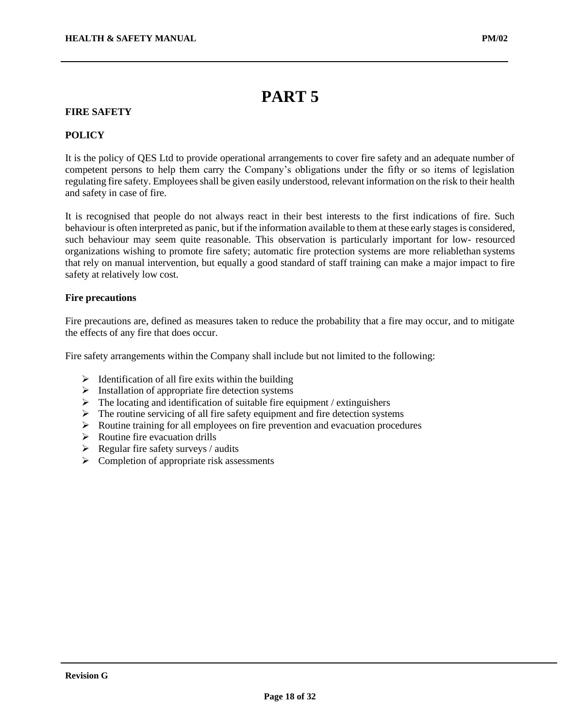## **PART 5**

## **FIRE SAFETY**

#### **POLICY**

It is the policy of QES Ltd to provide operational arrangements to cover fire safety and an adequate number of competent persons to help them carry the Company's obligations under the fifty or so items of legislation regulating fire safety. Employees shall be given easily understood, relevant information on the risk to their health and safety in case of fire.

It is recognised that people do not always react in their best interests to the first indications of fire. Such behaviour is often interpreted as panic, but if the information available to them at these early stages is considered, such behaviour may seem quite reasonable. This observation is particularly important for low- resourced organizations wishing to promote fire safety; automatic fire protection systems are more reliablethan systems that rely on manual intervention, but equally a good standard of staff training can make a major impact to fire safety at relatively low cost.

#### **Fire precautions**

Fire precautions are, defined as measures taken to reduce the probability that a fire may occur, and to mitigate the effects of any fire that does occur.

Fire safety arrangements within the Company shall include but not limited to the following:

- $\triangleright$  Identification of all fire exits within the building
- $\triangleright$  Installation of appropriate fire detection systems
- $\triangleright$  The locating and identification of suitable fire equipment / extinguishers
- $\triangleright$  The routine servicing of all fire safety equipment and fire detection systems
- ➢ Routine training for all employees on fire prevention and evacuation procedures
- $\triangleright$  Routine fire evacuation drills
- $\triangleright$  Regular fire safety surveys / audits
- $\triangleright$  Completion of appropriate risk assessments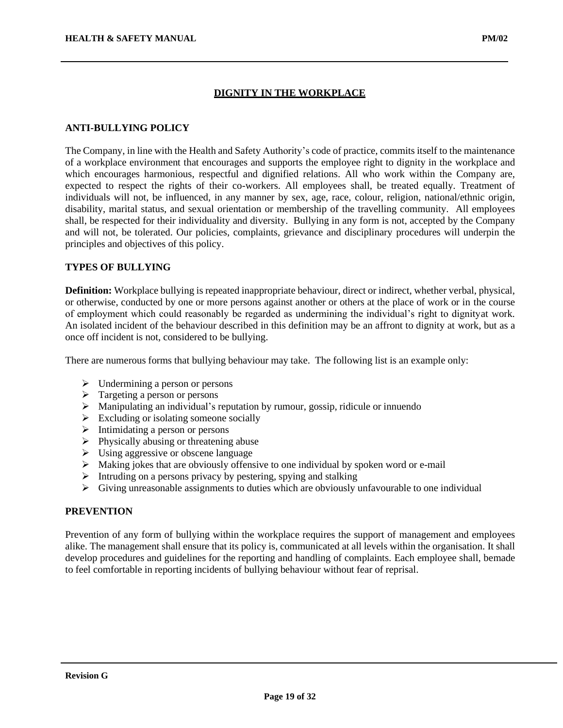#### **DIGNITY IN THE WORKPLACE**

#### **ANTI-BULLYING POLICY**

The Company, in line with the Health and Safety Authority's code of practice, commits itself to the maintenance of a workplace environment that encourages and supports the employee right to dignity in the workplace and which encourages harmonious, respectful and dignified relations. All who work within the Company are, expected to respect the rights of their co-workers. All employees shall, be treated equally. Treatment of individuals will not, be influenced, in any manner by sex, age, race, colour, religion, national/ethnic origin, disability, marital status, and sexual orientation or membership of the travelling community. All employees shall, be respected for their individuality and diversity. Bullying in any form is not, accepted by the Company and will not, be tolerated. Our policies, complaints, grievance and disciplinary procedures will underpin the principles and objectives of this policy.

#### **TYPES OF BULLYING**

**Definition:** Workplace bullying is repeated inappropriate behaviour, direct or indirect, whether verbal, physical, or otherwise, conducted by one or more persons against another or others at the place of work or in the course of employment which could reasonably be regarded as undermining the individual's right to dignityat work. An isolated incident of the behaviour described in this definition may be an affront to dignity at work, but as a once off incident is not, considered to be bullying.

There are numerous forms that bullying behaviour may take. The following list is an example only:

- $\triangleright$  Undermining a person or persons
- $\triangleright$  Targeting a person or persons
- ➢ Manipulating an individual's reputation by rumour, gossip, ridicule or innuendo
- $\triangleright$  Excluding or isolating someone socially
- ➢ Intimidating a person or persons
- $\triangleright$  Physically abusing or threatening abuse
- ➢ Using aggressive or obscene language
- ➢ Making jokes that are obviously offensive to one individual by spoken word or e-mail
- $\triangleright$  Intruding on a persons privacy by pestering, spying and stalking
- $\triangleright$  Giving unreasonable assignments to duties which are obviously unfavourable to one individual

#### **PREVENTION**

Prevention of any form of bullying within the workplace requires the support of management and employees alike. The management shall ensure that its policy is, communicated at all levels within the organisation. It shall develop procedures and guidelines for the reporting and handling of complaints. Each employee shall, bemade to feel comfortable in reporting incidents of bullying behaviour without fear of reprisal.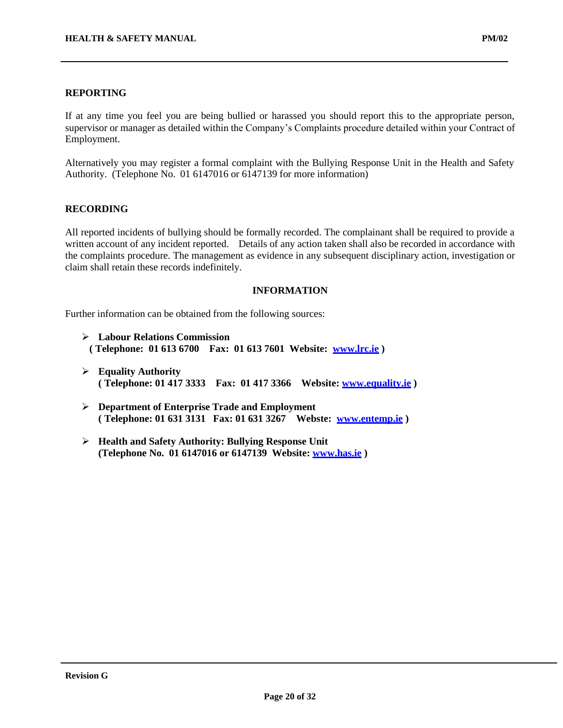If at any time you feel you are being bullied or harassed you should report this to the appropriate person, supervisor or manager as detailed within the Company's Complaints procedure detailed within your Contract of Employment.

Alternatively you may register a formal complaint with the Bullying Response Unit in the Health and Safety Authority. (Telephone No. 01 6147016 or 6147139 for more information)

#### **RECORDING**

All reported incidents of bullying should be formally recorded. The complainant shall be required to provide a written account of any incident reported. Details of any action taken shall also be recorded in accordance with the complaints procedure. The management as evidence in any subsequent disciplinary action, investigation or claim shall retain these records indefinitely.

#### **INFORMATION**

Further information can be obtained from the following sources:

- ➢ **Labour Relations Commission ( Telephone: 01 613 6700 Fax: 01 613 7601 Website: [www.lrc.ie](http://www.lrc.ie/) )**
- ➢ **Equality Authority ( Telephone: 01 417 3333 Fax: 01 417 3366 Website: [www.equality.ie](http://www.equality.ie/) )**
- ➢ **Department of Enterprise Trade and Employment ( Telephone: 01 631 3131 Fax: 01 631 3267 Webste: [www.entemp.ie](http://www.entemp.ie/) )**
- ➢ **Health and Safety Authority: Bullying Response Unit (Telephone No. 01 6147016 or 6147139 Website: [www.has.ie](http://www.has.ie/) )**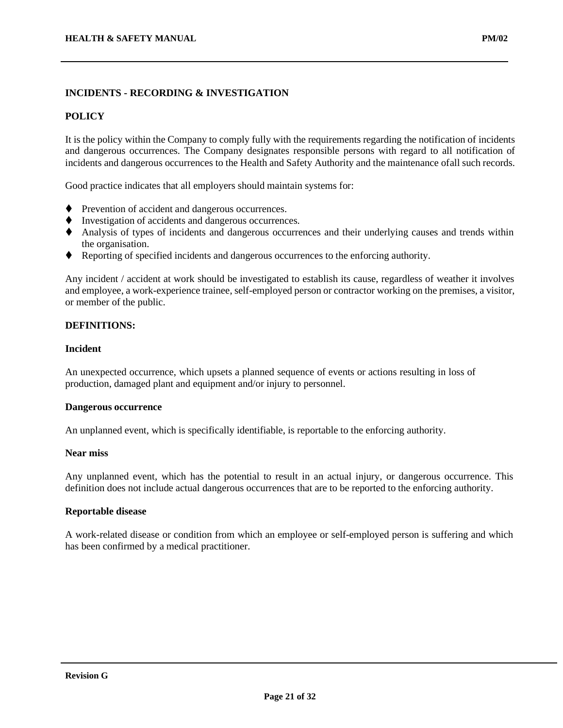## **INCIDENTS - RECORDING & INVESTIGATION**

#### **POLICY**

It is the policy within the Company to comply fully with the requirements regarding the notification of incidents and dangerous occurrences. The Company designates responsible persons with regard to all notification of incidents and dangerous occurrences to the Health and Safety Authority and the maintenance ofall such records.

Good practice indicates that all employers should maintain systems for:

- ♦ Prevention of accident and dangerous occurrences.
- ◆ Investigation of accidents and dangerous occurrences.
- ⧫ Analysis of types of incidents and dangerous occurrences and their underlying causes and trends within the organisation.
- ⧫ Reporting of specified incidents and dangerous occurrences to the enforcing authority.

Any incident / accident at work should be investigated to establish its cause, regardless of weather it involves and employee, a work-experience trainee, self-employed person or contractor working on the premises, a visitor, or member of the public.

#### **DEFINITIONS:**

#### **Incident**

An unexpected occurrence, which upsets a planned sequence of events or actions resulting in loss of production, damaged plant and equipment and/or injury to personnel.

#### **Dangerous occurrence**

An unplanned event, which is specifically identifiable, is reportable to the enforcing authority.

#### **Near miss**

Any unplanned event, which has the potential to result in an actual injury, or dangerous occurrence. This definition does not include actual dangerous occurrences that are to be reported to the enforcing authority.

#### **Reportable disease**

A work-related disease or condition from which an employee or self-employed person is suffering and which has been confirmed by a medical practitioner.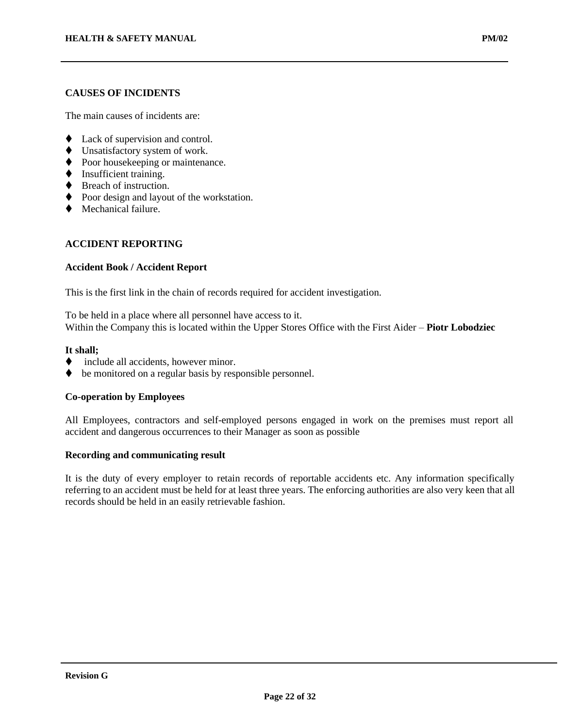The main causes of incidents are:

- ◆ Lack of supervision and control.
- ◆ Unsatisfactory system of work.
- ◆ Poor housekeeping or maintenance.
- ♦ Insufficient training.
- ♦ Breach of instruction.
- ♦ Poor design and layout of the workstation.
- Mechanical failure.

## **ACCIDENT REPORTING**

#### **Accident Book / Accident Report**

This is the first link in the chain of records required for accident investigation.

To be held in a place where all personnel have access to it. Within the Company this is located within the Upper Stores Office with the First Aider – **Piotr Lobodziec**

#### **It shall;**

- include all accidents, however minor.
- ♦ be monitored on a regular basis by responsible personnel.

#### **Co-operation by Employees**

All Employees, contractors and self-employed persons engaged in work on the premises must report all accident and dangerous occurrences to their Manager as soon as possible

#### **Recording and communicating result**

It is the duty of every employer to retain records of reportable accidents etc. Any information specifically referring to an accident must be held for at least three years. The enforcing authorities are also very keen that all records should be held in an easily retrievable fashion.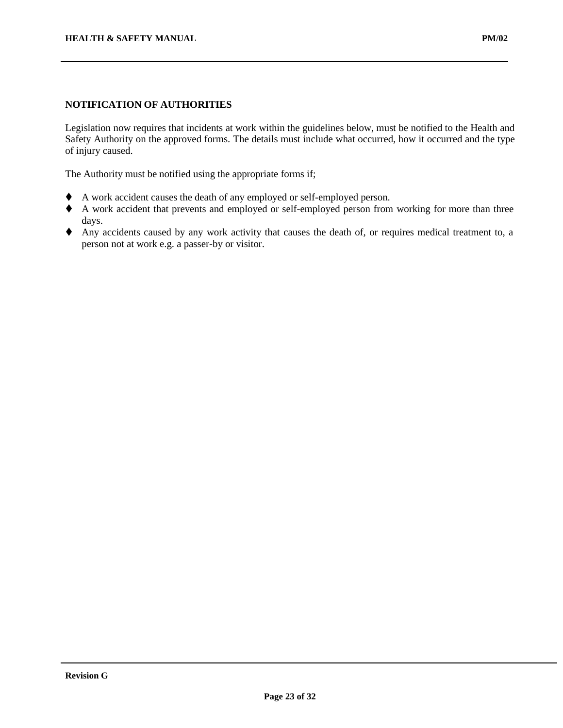Legislation now requires that incidents at work within the guidelines below, must be notified to the Health and Safety Authority on the approved forms. The details must include what occurred, how it occurred and the type of injury caused.

The Authority must be notified using the appropriate forms if;

- ⧫ A work accident causes the death of any employed or self-employed person.
- ⧫ A work accident that prevents and employed or self-employed person from working for more than three days.
- ⧫ Any accidents caused by any work activity that causes the death of, or requires medical treatment to, a person not at work e.g. a passer-by or visitor.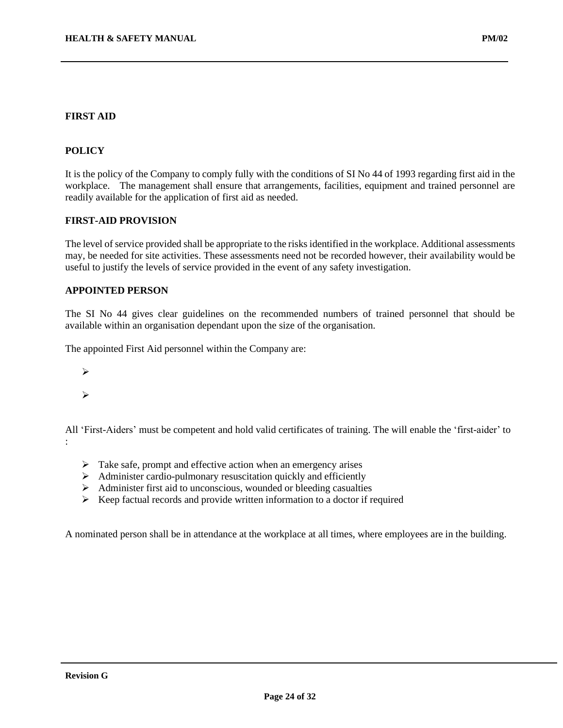### **POLICY**

It is the policy of the Company to comply fully with the conditions of SI No 44 of 1993 regarding first aid in the workplace. The management shall ensure that arrangements, facilities, equipment and trained personnel are readily available for the application of first aid as needed.

#### **FIRST-AID PROVISION**

The level of service provided shall be appropriate to the risks identified in the workplace. Additional assessments may, be needed for site activities. These assessments need not be recorded however, their availability would be useful to justify the levels of service provided in the event of any safety investigation.

#### **APPOINTED PERSON**

The SI No 44 gives clear guidelines on the recommended numbers of trained personnel that should be available within an organisation dependant upon the size of the organisation.

The appointed First Aid personnel within the Company are:

➢

➢

All 'First-Aiders' must be competent and hold valid certificates of training. The will enable the 'first-aider' to :

- $\triangleright$  Take safe, prompt and effective action when an emergency arises
- $\triangleright$  Administer cardio-pulmonary resuscitation quickly and efficiently
- ➢ Administer first aid to unconscious, wounded or bleeding casualties
- $\triangleright$  Keep factual records and provide written information to a doctor if required

A nominated person shall be in attendance at the workplace at all times, where employees are in the building.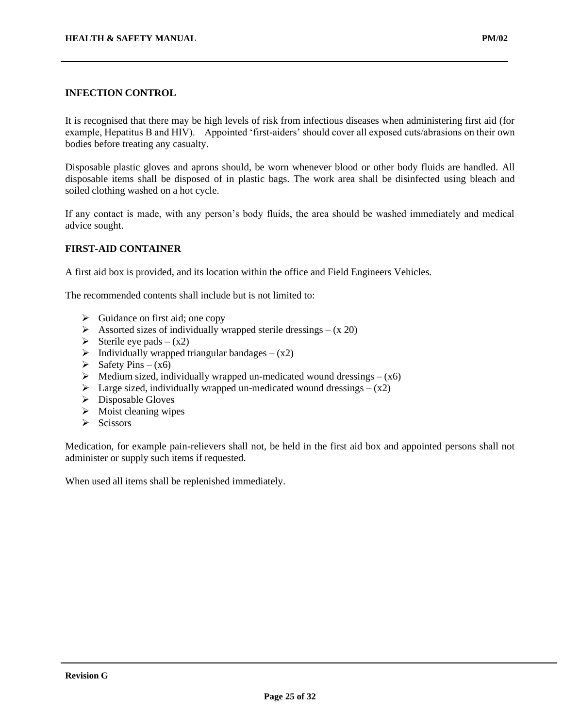## **INFECTION CONTROL**

It is recognised that there may be high levels of risk from infectious diseases when administering first aid (for example, Hepatitus B and HIV). Appointed 'first-aiders' should cover all exposed cuts/abrasions on their own bodies before treating any casualty.

Disposable plastic gloves and aprons should, be worn whenever blood or other body fluids are handled. All disposable items shall be disposed of in plastic bags. The work area shall be disinfected using bleach and soiled clothing washed on a hot cycle.

If any contact is made, with any person's body fluids, the area should be washed immediately and medical advice sought.

#### **FIRST-AID CONTAINER**

A first aid box is provided, and its location within the office and Field Engineers Vehicles.

The recommended contents shall include but is not limited to:

- $\triangleright$  Guidance on first aid; one copy
- $\triangleright$  Assorted sizes of individually wrapped sterile dressings (x 20)
- $\triangleright$  Sterile eye pads (x2)
- $\triangleright$  Individually wrapped triangular bandages (x2)
- $\triangleright$  Safety Pins (x6)
- $\triangleright$  Medium sized, individually wrapped un-medicated wound dressings (x6)
- $\triangleright$  Large sized, individually wrapped un-medicated wound dressings (x2)
- ➢ Disposable Gloves
- $\triangleright$  Moist cleaning wipes
- $\triangleright$  Scissors

Medication, for example pain-relievers shall not, be held in the first aid box and appointed persons shall not administer or supply such items if requested.

When used all items shall be replenished immediately.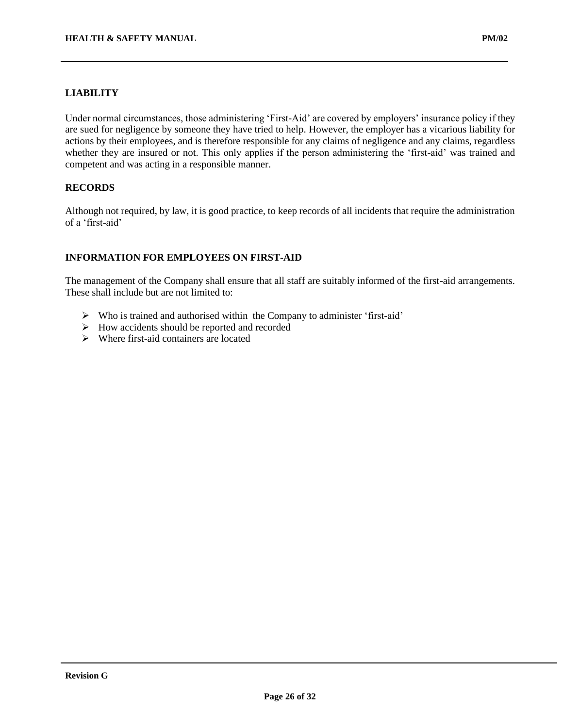Under normal circumstances, those administering 'First-Aid' are covered by employers' insurance policy if they are sued for negligence by someone they have tried to help. However, the employer has a vicarious liability for actions by their employees, and is therefore responsible for any claims of negligence and any claims, regardless whether they are insured or not. This only applies if the person administering the 'first-aid' was trained and competent and was acting in a responsible manner.

## **RECORDS**

Although not required, by law, it is good practice, to keep records of all incidents that require the administration of a 'first-aid'

## **INFORMATION FOR EMPLOYEES ON FIRST-AID**

The management of the Company shall ensure that all staff are suitably informed of the first-aid arrangements. These shall include but are not limited to:

- ➢ Who is trained and authorised within the Company to administer 'first-aid'
- ➢ How accidents should be reported and recorded
- $\triangleright$  Where first-aid containers are located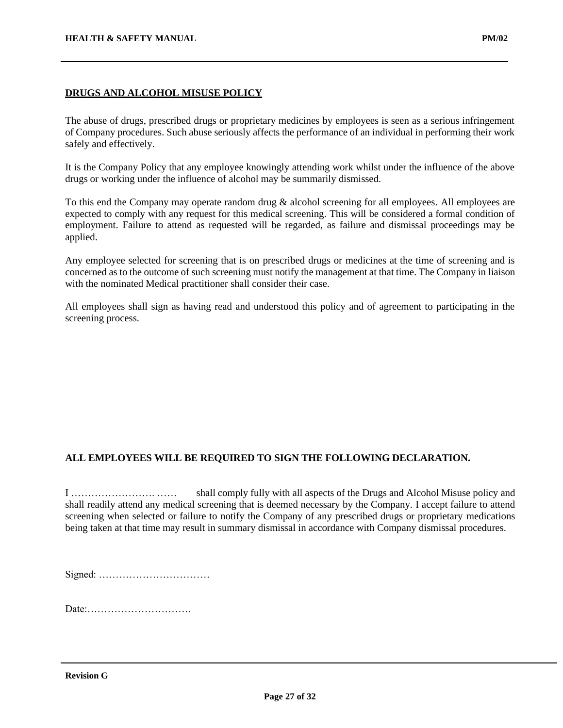## **DRUGS AND ALCOHOL MISUSE POLICY**

The abuse of drugs, prescribed drugs or proprietary medicines by employees is seen as a serious infringement of Company procedures. Such abuse seriously affects the performance of an individual in performing their work safely and effectively.

It is the Company Policy that any employee knowingly attending work whilst under the influence of the above drugs or working under the influence of alcohol may be summarily dismissed.

To this end the Company may operate random drug & alcohol screening for all employees. All employees are expected to comply with any request for this medical screening. This will be considered a formal condition of employment. Failure to attend as requested will be regarded, as failure and dismissal proceedings may be applied.

Any employee selected for screening that is on prescribed drugs or medicines at the time of screening and is concerned as to the outcome of such screening must notify the management at that time. The Company in liaison with the nominated Medical practitioner shall consider their case.

All employees shall sign as having read and understood this policy and of agreement to participating in the screening process.

## **ALL EMPLOYEES WILL BE REQUIRED TO SIGN THE FOLLOWING DECLARATION.**

I ……………………. …… shall comply fully with all aspects of the Drugs and Alcohol Misuse policy and shall readily attend any medical screening that is deemed necessary by the Company. I accept failure to attend screening when selected or failure to notify the Company of any prescribed drugs or proprietary medications being taken at that time may result in summary dismissal in accordance with Company dismissal procedures.

Signed: ……………………………

Date:………………………….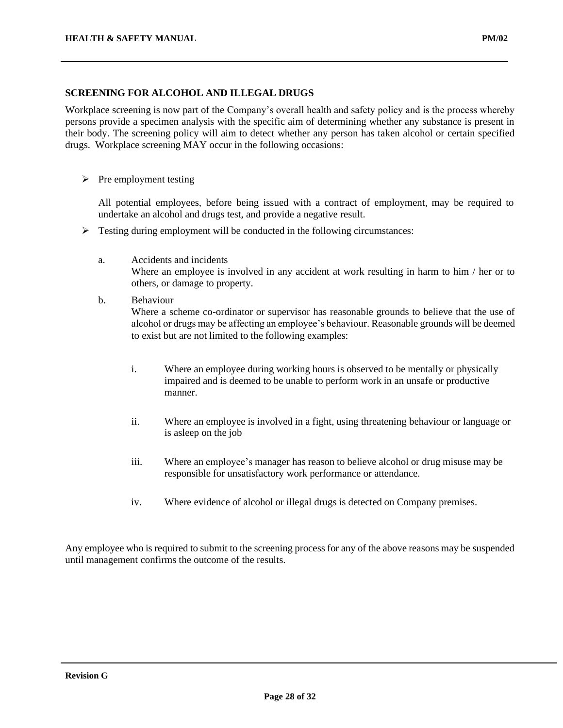### **SCREENING FOR ALCOHOL AND ILLEGAL DRUGS**

Workplace screening is now part of the Company's overall health and safety policy and is the process whereby persons provide a specimen analysis with the specific aim of determining whether any substance is present in their body. The screening policy will aim to detect whether any person has taken alcohol or certain specified drugs. Workplace screening MAY occur in the following occasions:

 $\triangleright$  Pre employment testing

All potential employees, before being issued with a contract of employment, may be required to undertake an alcohol and drugs test, and provide a negative result.

- ➢ Testing during employment will be conducted in the following circumstances:
	- a. Accidents and incidents

Where an employee is involved in any accident at work resulting in harm to him / her or to others, or damage to property.

- b. Behaviour Where a scheme co-ordinator or supervisor has reasonable grounds to believe that the use of alcohol or drugs may be affecting an employee's behaviour. Reasonable grounds will be deemed to exist but are not limited to the following examples:
	- i. Where an employee during working hours is observed to be mentally or physically impaired and is deemed to be unable to perform work in an unsafe or productive manner.
	- ii. Where an employee is involved in a fight, using threatening behaviour or language or is asleep on the job
	- iii. Where an employee's manager has reason to believe alcohol or drug misuse may be responsible for unsatisfactory work performance or attendance.
	- iv. Where evidence of alcohol or illegal drugs is detected on Company premises.

Any employee who is required to submit to the screening process for any of the above reasons may be suspended until management confirms the outcome of the results.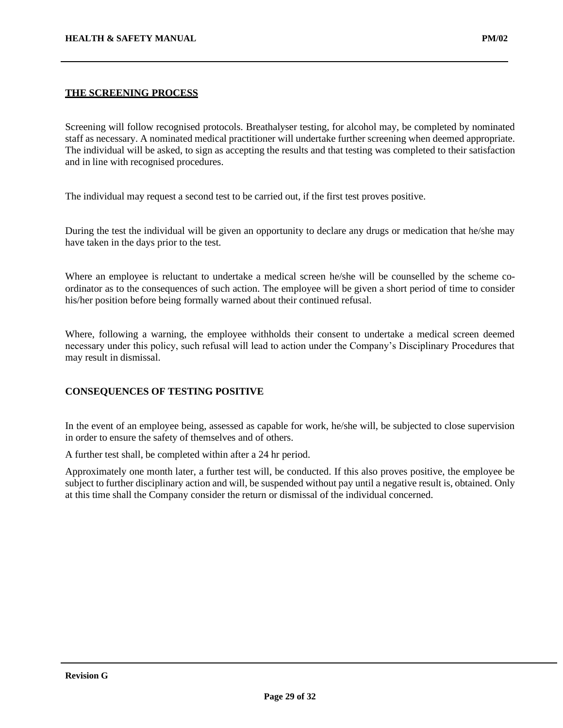## **THE SCREENING PROCESS**

Screening will follow recognised protocols. Breathalyser testing, for alcohol may, be completed by nominated staff as necessary. A nominated medical practitioner will undertake further screening when deemed appropriate. The individual will be asked, to sign as accepting the results and that testing was completed to their satisfaction and in line with recognised procedures.

The individual may request a second test to be carried out, if the first test proves positive.

During the test the individual will be given an opportunity to declare any drugs or medication that he/she may have taken in the days prior to the test.

Where an employee is reluctant to undertake a medical screen he/she will be counselled by the scheme coordinator as to the consequences of such action. The employee will be given a short period of time to consider his/her position before being formally warned about their continued refusal.

Where, following a warning, the employee withholds their consent to undertake a medical screen deemed necessary under this policy, such refusal will lead to action under the Company's Disciplinary Procedures that may result in dismissal.

## **CONSEQUENCES OF TESTING POSITIVE**

In the event of an employee being, assessed as capable for work, he/she will, be subjected to close supervision in order to ensure the safety of themselves and of others.

A further test shall, be completed within after a 24 hr period.

Approximately one month later, a further test will, be conducted. If this also proves positive, the employee be subject to further disciplinary action and will, be suspended without pay until a negative result is, obtained. Only at this time shall the Company consider the return or dismissal of the individual concerned.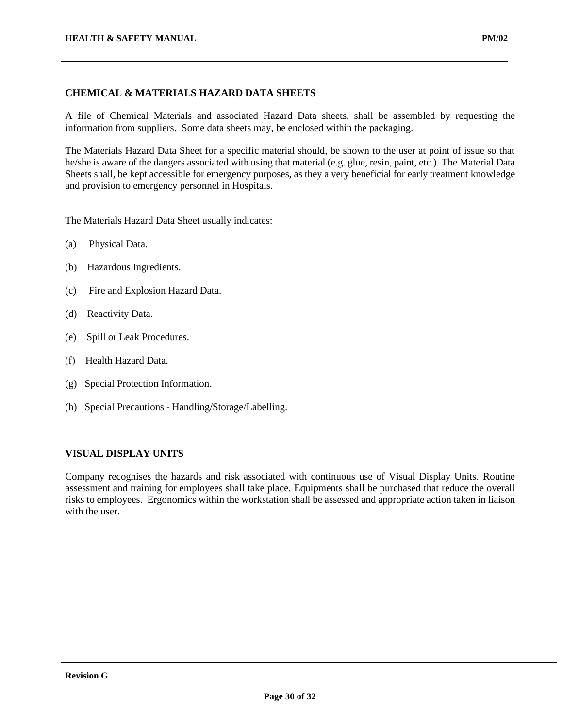## **CHEMICAL & MATERIALS HAZARD DATA SHEETS**

A file of Chemical Materials and associated Hazard Data sheets, shall be assembled by requesting the information from suppliers. Some data sheets may, be enclosed within the packaging.

The Materials Hazard Data Sheet for a specific material should, be shown to the user at point of issue so that he/she is aware of the dangers associated with using that material (e.g. glue, resin, paint, etc.). The Material Data Sheets shall, be kept accessible for emergency purposes, as they a very beneficial for early treatment knowledge and provision to emergency personnel in Hospitals.

The Materials Hazard Data Sheet usually indicates:

- (a) Physical Data.
- (b) Hazardous Ingredients.
- (c) Fire and Explosion Hazard Data.
- (d) Reactivity Data.
- (e) Spill or Leak Procedures.
- (f) Health Hazard Data.
- (g) Special Protection Information.
- (h) Special Precautions Handling/Storage/Labelling.

## **VISUAL DISPLAY UNITS**

Company recognises the hazards and risk associated with continuous use of Visual Display Units. Routine assessment and training for employees shall take place. Equipments shall be purchased that reduce the overall risks to employees. Ergonomics within the workstation shall be assessed and appropriate action taken in liaison with the user.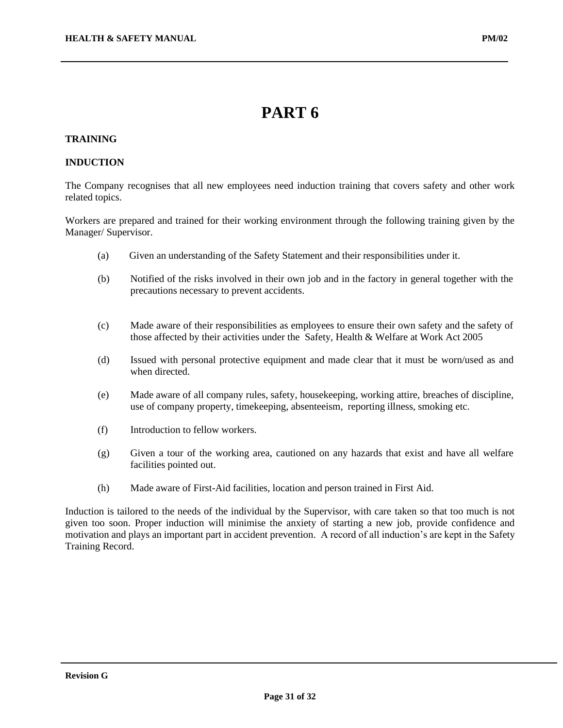## **PART 6**

## **TRAINING**

#### **INDUCTION**

The Company recognises that all new employees need induction training that covers safety and other work related topics.

Workers are prepared and trained for their working environment through the following training given by the Manager/ Supervisor.

- (a) Given an understanding of the Safety Statement and their responsibilities under it.
- (b) Notified of the risks involved in their own job and in the factory in general together with the precautions necessary to prevent accidents.
- (c) Made aware of their responsibilities as employees to ensure their own safety and the safety of those affected by their activities under the Safety, Health & Welfare at Work Act 2005
- (d) Issued with personal protective equipment and made clear that it must be worn/used as and when directed.
- (e) Made aware of all company rules, safety, housekeeping, working attire, breaches of discipline, use of company property, timekeeping, absenteeism, reporting illness, smoking etc.
- (f) Introduction to fellow workers.
- (g) Given a tour of the working area, cautioned on any hazards that exist and have all welfare facilities pointed out.
- (h) Made aware of First-Aid facilities, location and person trained in First Aid.

Induction is tailored to the needs of the individual by the Supervisor, with care taken so that too much is not given too soon. Proper induction will minimise the anxiety of starting a new job, provide confidence and motivation and plays an important part in accident prevention. A record of all induction's are kept in the Safety Training Record.